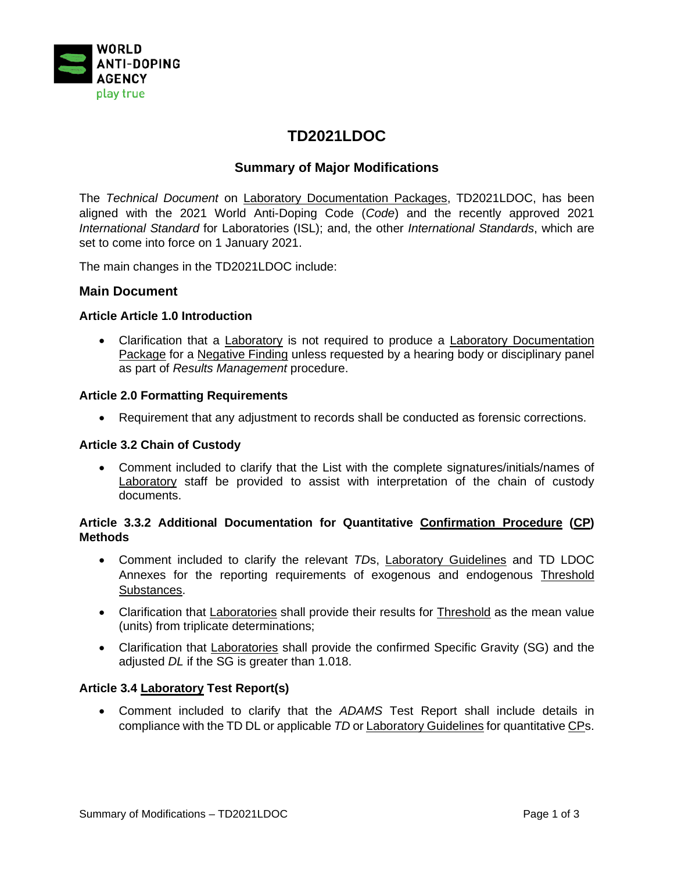

# **TD2021LDOC**

# **Summary of Major Modifications**

The *Technical Document* on Laboratory Documentation Packages, TD2021LDOC, has been aligned with the 2021 World Anti-Doping Code (*Code*) and the recently approved 2021 *International Standard* for Laboratories (ISL); and, the other *International Standards*, which are set to come into force on 1 January 2021.

The main changes in the TD2021LDOC include:

### **Main Document**

### **Article Article 1.0 Introduction**

• Clarification that a Laboratory is not required to produce a Laboratory Documentation Package for a Negative Finding unless requested by a hearing body or disciplinary panel as part of *Results Management* procedure.

#### **Article 2.0 Formatting Requirements**

• Requirement that any adjustment to records shall be conducted as forensic corrections.

#### **Article 3.2 Chain of Custody**

• Comment included to clarify that the List with the complete signatures/initials/names of Laboratory staff be provided to assist with interpretation of the chain of custody documents.

### **Article 3.3.2 Additional Documentation for Quantitative Confirmation Procedure (CP) Methods**

- Comment included to clarify the relevant *TD*s, Laboratory Guidelines and TD LDOC Annexes for the reporting requirements of exogenous and endogenous Threshold Substances.
- Clarification that Laboratories shall provide their results for Threshold as the mean value (units) from triplicate determinations;
- Clarification that Laboratories shall provide the confirmed Specific Gravity (SG) and the adjusted *DL* if the SG is greater than 1.018.

#### **Article 3.4 Laboratory Test Report(s)**

• Comment included to clarify that the *ADAMS* Test Report shall include details in compliance with the TD DL or applicable *TD* or Laboratory Guidelines for quantitative CPs.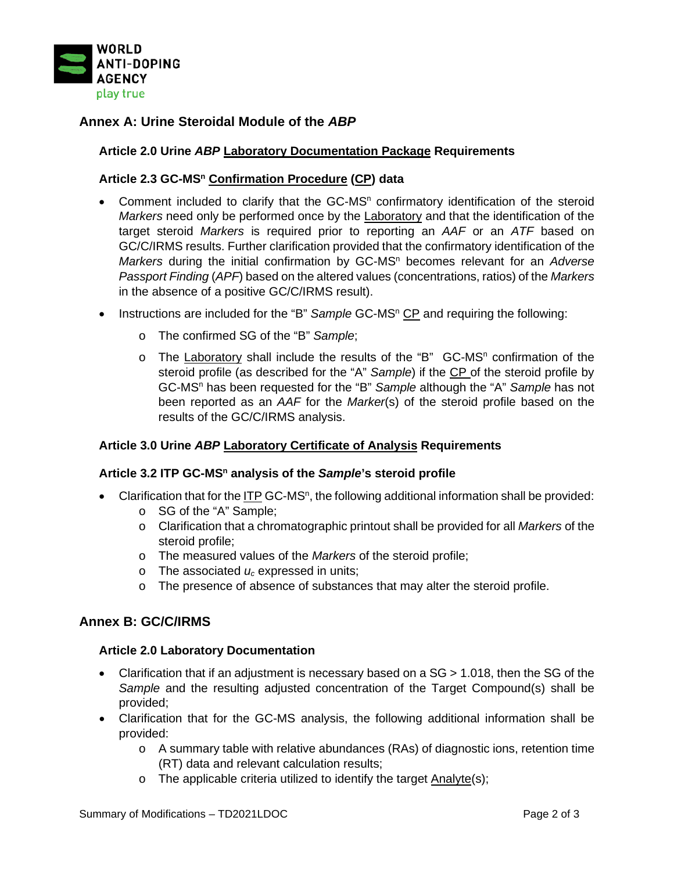

# **Annex A: Urine Steroidal Module of the** *ABP*

## **Article 2.0 Urine** *ABP* **Laboratory Documentation Package Requirements**

### **Article 2.3 GC-MSn Confirmation Procedure (CP) data**

- Comment included to clarify that the GC-MS<sup>n</sup> confirmatory identification of the steroid *Markers* need only be performed once by the Laboratory and that the identification of the target steroid *Markers* is required prior to reporting an *AAF* or an *ATF* based on GC/C/IRMS results. Further clarification provided that the confirmatory identification of the *Markers* during the initial confirmation by GC-MS<sup>n</sup> becomes relevant for an *Adverse Passport Finding* (*APF*) based on the altered values (concentrations, ratios) of the *Markers*  in the absence of a positive GC/C/IRMS result).
- Instructions are included for the "B" Sample GC-MS<sup>n</sup> CP and requiring the following:
	- o The confirmed SG of the "B" *Sample*;
	- o The Laboratory shall include the results of the "B" GC-MS<sup>n</sup> confirmation of the steroid profile (as described for the "A" *Sample*) if the CP of the steroid profile by GC-MSn has been requested for the "B" *Sample* although the "A" *Sample* has not been reported as an *AAF* for the *Marker*(s) of the steroid profile based on the results of the GC/C/IRMS analysis.

#### **Article 3.0 Urine** *ABP* **Laboratory Certificate of Analysis Requirements**

#### **Article 3.2 ITP GC-MSn analysis of the** *Sample***'s steroid profile**

- Clarification that for the ITP GC-MS<sup>n</sup>, the following additional information shall be provided:
	- o SG of the "A" Sample;
	- o Clarification that a chromatographic printout shall be provided for all *Markers* of the steroid profile;
	- o The measured values of the *Markers* of the steroid profile;
	- o The associated *uc* expressed in units;
	- o The presence of absence of substances that may alter the steroid profile.

## **Annex B: GC/C/IRMS**

#### **Article 2.0 Laboratory Documentation**

- Clarification that if an adjustment is necessary based on a SG > 1.018, then the SG of the *Sample* and the resulting adjusted concentration of the Target Compound(s) shall be provided;
- Clarification that for the GC-MS analysis, the following additional information shall be provided:
	- $\circ$  A summary table with relative abundances (RAs) of diagnostic ions, retention time (RT) data and relevant calculation results;
	- $\circ$  The applicable criteria utilized to identify the target Analyte(s);